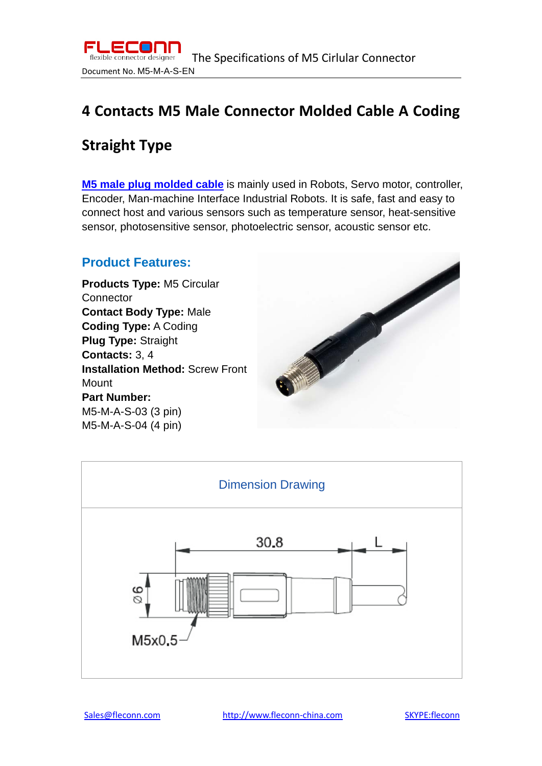

# **4 Contacts M5 Male Connector Molded Cable A Coding**

## **Straight Type**

**[M5 male plug molded cable](http://www.fleconn-china.com/productinfo-96-4-PIN-M5-Male-Connector-Molded-Cable-A-Coding-Straight.html)** is mainly used in Robots, Servo motor, controller, Encoder, Man-machine Interface Industrial Robots. It is safe, fast and easy to connect host and various sensors such as temperature sensor, heat-sensitive sensor, photosensitive sensor, photoelectric sensor, acoustic sensor etc.

### **Product Features:**

**Products Type:** M5 Circular **Connector Contact Body Type:** Male **Coding Type:** A Coding **Plug Type:** Straight **Contacts:** 3, 4 **Installation Method:** Screw Front **Mount Part Number:**  M5-M-A-S-03 (3 pin) M5-M-A-S-04 (4 pin)



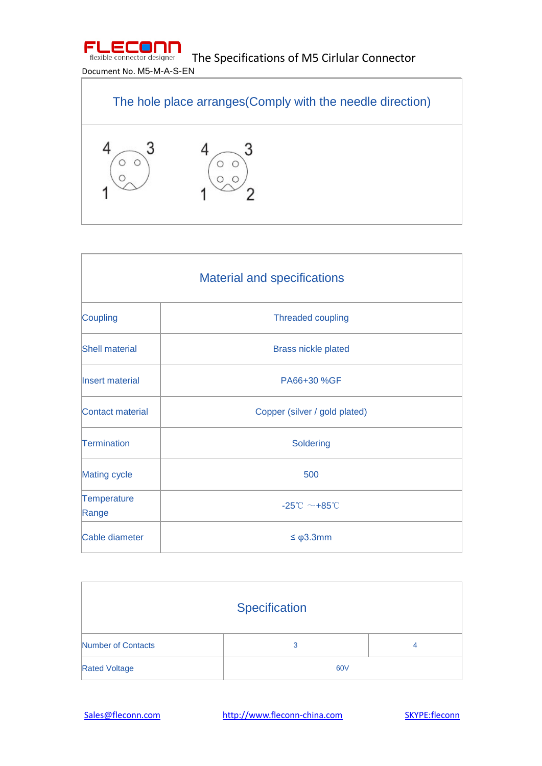

The Specifications of M5 Cirlular Connector

### Document No. M5-M-A-S-EN



| <b>Material and specifications</b> |                                                |  |
|------------------------------------|------------------------------------------------|--|
| Coupling                           | <b>Threaded coupling</b>                       |  |
| <b>Shell material</b>              | <b>Brass nickle plated</b>                     |  |
| Insert material                    | PA66+30 %GF                                    |  |
| Contact material                   | Copper (silver / gold plated)                  |  |
| Termination                        | Soldering                                      |  |
| <b>Mating cycle</b>                | 500                                            |  |
| Temperature<br>Range               | $-25^{\circ}\text{C} \sim +85^{\circ}\text{C}$ |  |
| Cable diameter                     | $\leq \varphi$ 3.3mm                           |  |

| Specification        |     |   |  |
|----------------------|-----|---|--|
| Number of Contacts   | 3   | 4 |  |
| <b>Rated Voltage</b> | 60V |   |  |